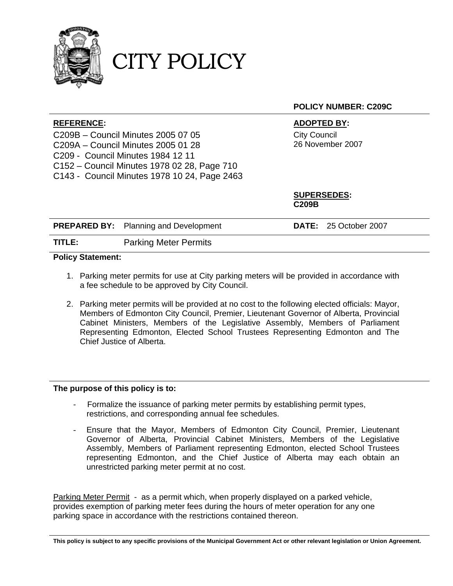

### CITY POLICY

#### **POLICY NUMBER: C209C**

#### **REFERENCE: ADOPTED BY:**

C209B – Council Minutes 2005 07 05 C209A – Council Minutes 2005 01 28 C209 - Council Minutes 1984 12 11 C152 – Council Minutes 1978 02 28, Page 710 C143 - Council Minutes 1978 10 24, Page 2463 City Council 26 November 2007

**SUPERSEDES: C209B** 

|        | <b>PREPARED BY:</b> Planning and Development | <b>DATE:</b> 25 October 2007 |  |
|--------|----------------------------------------------|------------------------------|--|
| TITLE: | <b>Parking Meter Permits</b>                 |                              |  |

#### **Policy Statement:**

- 1. Parking meter permits for use at City parking meters will be provided in accordance with a fee schedule to be approved by City Council.
- 2. Parking meter permits will be provided at no cost to the following elected officials: Mayor, Members of Edmonton City Council, Premier, Lieutenant Governor of Alberta, Provincial Cabinet Ministers, Members of the Legislative Assembly, Members of Parliament Representing Edmonton, Elected School Trustees Representing Edmonton and The Chief Justice of Alberta.

#### **The purpose of this policy is to:**

- Formalize the issuance of parking meter permits by establishing permit types, restrictions, and corresponding annual fee schedules.
- Ensure that the Mayor, Members of Edmonton City Council, Premier, Lieutenant Governor of Alberta, Provincial Cabinet Ministers, Members of the Legislative Assembly, Members of Parliament representing Edmonton, elected School Trustees representing Edmonton, and the Chief Justice of Alberta may each obtain an unrestricted parking meter permit at no cost.

Parking Meter Permit - as a permit which, when properly displayed on a parked vehicle, provides exemption of parking meter fees during the hours of meter operation for any one parking space in accordance with the restrictions contained thereon.

**This policy is subject to any specific provisions of the Municipal Government Act or other relevant legislation or Union Agreement.**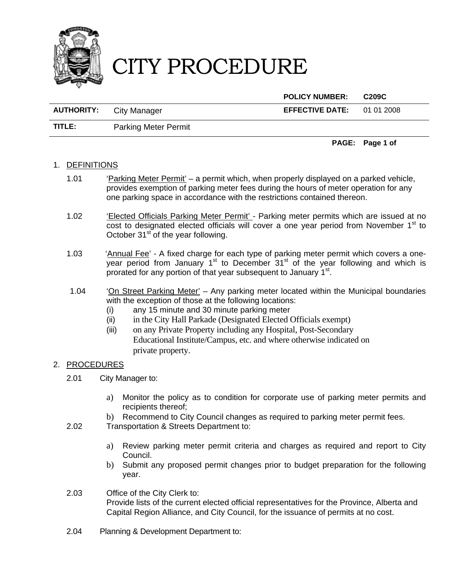

### CITY PROCEDURE

**POLICY NUMBER: C209C** 

| <b>AUTHORITY:</b> | City Manager                | <b>EFFECTIVE DATE:</b> | 01 01 2008 |
|-------------------|-----------------------------|------------------------|------------|
| TITLE:            | <b>Parking Meter Permit</b> |                        |            |

**PAGE: Page 1 of** 

#### 1. DEFINITIONS

- 1.01 'Parking Meter Permit' a permit which, when properly displayed on a parked vehicle, provides exemption of parking meter fees during the hours of meter operation for any one parking space in accordance with the restrictions contained thereon.
- 1.02 'Elected Officials Parking Meter Permit' Parking meter permits which are issued at no cost to designated elected officials will cover a one year period from November  $1<sup>st</sup>$  to October  $31<sup>st</sup>$  of the year following.
- 1.03 'Annual Fee' A fixed charge for each type of parking meter permit which covers a oneyear period from January  $1<sup>st</sup>$  to December  $31<sup>st</sup>$  of the year following and which is prorated for any portion of that year subsequent to January 1<sup>st</sup>.
- 1.04 'On Street Parking Meter' Any parking meter located within the Municipal boundaries with the exception of those at the following locations:
	- (i) any 15 minute and 30 minute parking meter
	- (ii) in the City Hall Parkade (Designated Elected Officials exempt)
	- (iii) on any Private Property including any Hospital, Post-Secondary Educational Institute/Campus, etc. and where otherwise indicated on private property.

#### 2. PROCEDURES

- 2.01 City Manager to:
	- a) Monitor the policy as to condition for corporate use of parking meter permits and recipients thereof;
	- b) Recommend to City Council changes as required to parking meter permit fees.
- 2.02 Transportation & Streets Department to:
	- a) Review parking meter permit criteria and charges as required and report to City Council.
	- b) Submit any proposed permit changes prior to budget preparation for the following year.
- 2.03 Office of the City Clerk to: Provide lists of the current elected official representatives for the Province, Alberta and Capital Region Alliance, and City Council, for the issuance of permits at no cost.
- 2.04 Planning & Development Department to: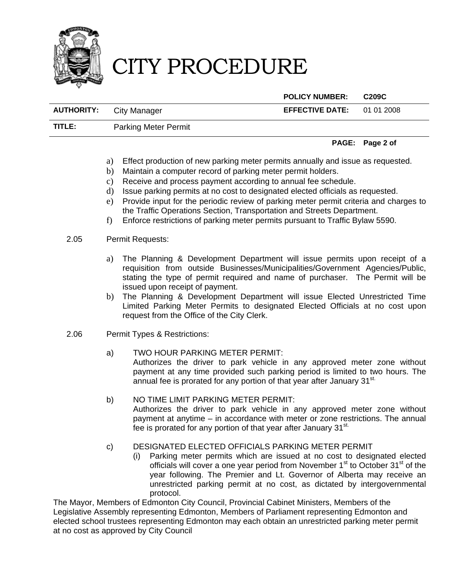

## CITY PROCEDURE

**POLICY NUMBER: C209C** 

| <b>AUTHORITY:</b> | City Manager | <b>EFFECTIVE DATE:</b> | 01 01 2008 |
|-------------------|--------------|------------------------|------------|
|                   |              |                        |            |

**TITLE:** Parking Meter Permit

#### **PAGE: Page 2 of**

- a) Effect production of new parking meter permits annually and issue as requested.
- b) Maintain a computer record of parking meter permit holders.
- c) Receive and process payment according to annual fee schedule.
- d) Issue parking permits at no cost to designated elected officials as requested.
- e) Provide input for the periodic review of parking meter permit criteria and charges to the Traffic Operations Section, Transportation and Streets Department.
- f) Enforce restrictions of parking meter permits pursuant to Traffic Bylaw 5590.

#### 2.05 Permit Requests:

- a) The Planning & Development Department will issue permits upon receipt of a requisition from outside Businesses/Municipalities/Government Agencies/Public, stating the type of permit required and name of purchaser. The Permit will be issued upon receipt of payment.
- b) The Planning & Development Department will issue Elected Unrestricted Time Limited Parking Meter Permits to designated Elected Officials at no cost upon request from the Office of the City Clerk.
- 2.06 Permit Types & Restrictions:
	- a) TWO HOUR PARKING METER PERMIT: Authorizes the driver to park vehicle in any approved meter zone without payment at any time provided such parking period is limited to two hours. The annual fee is prorated for any portion of that year after January 31<sup>st.</sup>
	- b) NO TIME LIMIT PARKING METER PERMIT: Authorizes the driver to park vehicle in any approved meter zone without payment at anytime – in accordance with meter or zone restrictions. The annual fee is prorated for any portion of that year after January 31<sup>st.</sup>

#### c) DESIGNATED ELECTED OFFICIALS PARKING METER PERMIT

(i) Parking meter permits which are issued at no cost to designated elected officials will cover a one year period from November  $1<sup>st</sup>$  to October  $31<sup>st</sup>$  of the year following. The Premier and Lt. Governor of Alberta may receive an unrestricted parking permit at no cost, as dictated by intergovernmental protocol.

The Mayor, Members of Edmonton City Council, Provincial Cabinet Ministers, Members of the Legislative Assembly representing Edmonton, Members of Parliament representing Edmonton and elected school trustees representing Edmonton may each obtain an unrestricted parking meter permit at no cost as approved by City Council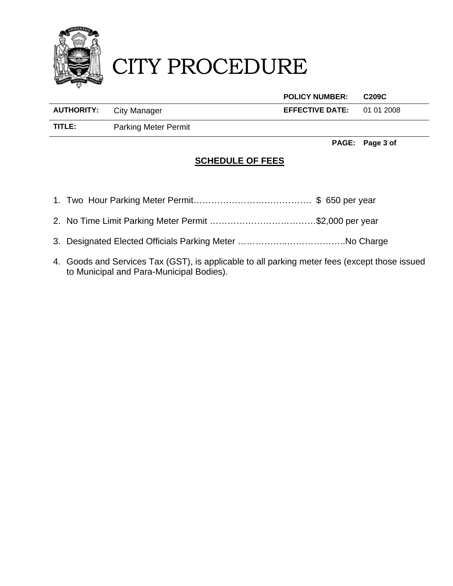

# CITY PROCEDURE

|                   |                             | <b>POLICY NUMBER:</b>  | C209C      |
|-------------------|-----------------------------|------------------------|------------|
| <b>AUTHORITY:</b> | City Manager                | <b>EFFECTIVE DATE:</b> | 01 01 2008 |
| TITLE:            | <b>Parking Meter Permit</b> |                        |            |

**PAGE: Page 3 of** 

### **SCHEDULE OF FEES**

- 1. Two Hour Parking Meter Permit…………………………………. \$ 650 per year
- 2. No Time Limit Parking Meter Permit ………………………………\$2,000 per year
- 3. Designated Elected Officials Parking Meter ……………..………………..No Charge
- 4. Goods and Services Tax (GST), is applicable to all parking meter fees (except those issued to Municipal and Para-Municipal Bodies).